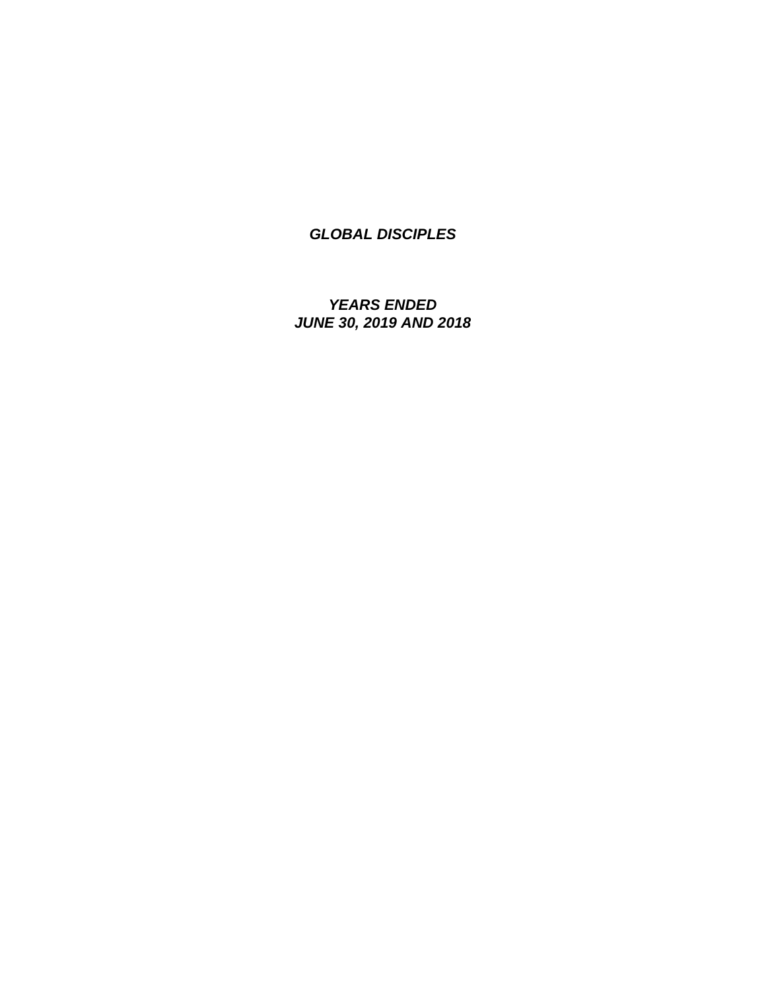*YEARS ENDED JUNE 30, 2019 AND 2018*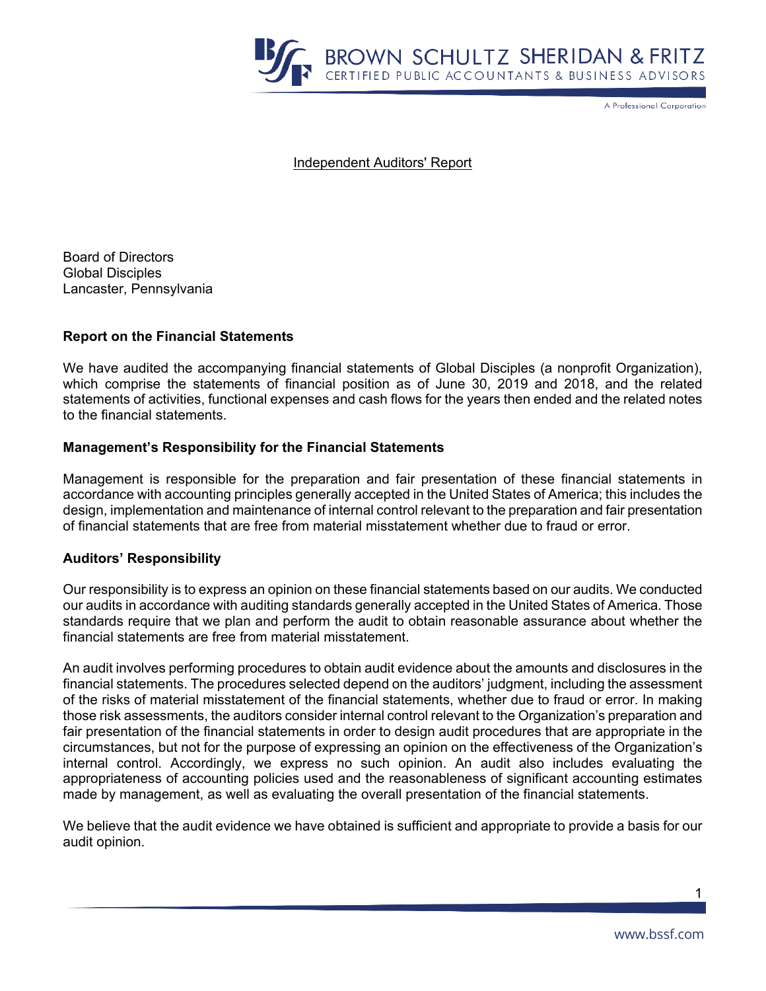

A Professional Corporation

Independent Auditors' Report

Board of Directors Global Disciples Lancaster, Pennsylvania

### **Report on the Financial Statements**

We have audited the accompanying financial statements of Global Disciples (a nonprofit Organization), which comprise the statements of financial position as of June 30, 2019 and 2018, and the related statements of activities, functional expenses and cash flows for the years then ended and the related notes to the financial statements.

### **Management's Responsibility for the Financial Statements**

Management is responsible for the preparation and fair presentation of these financial statements in accordance with accounting principles generally accepted in the United States of America; this includes the design, implementation and maintenance of internal control relevant to the preparation and fair presentation of financial statements that are free from material misstatement whether due to fraud or error.

#### **Auditors' Responsibility**

Our responsibility is to express an opinion on these financial statements based on our audits. We conducted our audits in accordance with auditing standards generally accepted in the United States of America. Those standards require that we plan and perform the audit to obtain reasonable assurance about whether the financial statements are free from material misstatement.

An audit involves performing procedures to obtain audit evidence about the amounts and disclosures in the financial statements. The procedures selected depend on the auditors' judgment, including the assessment of the risks of material misstatement of the financial statements, whether due to fraud or error. In making those risk assessments, the auditors consider internal control relevant to the Organization's preparation and fair presentation of the financial statements in order to design audit procedures that are appropriate in the circumstances, but not for the purpose of expressing an opinion on the effectiveness of the Organization's internal control. Accordingly, we express no such opinion. An audit also includes evaluating the appropriateness of accounting policies used and the reasonableness of significant accounting estimates made by management, as well as evaluating the overall presentation of the financial statements.

We believe that the audit evidence we have obtained is sufficient and appropriate to provide a basis for our audit opinion.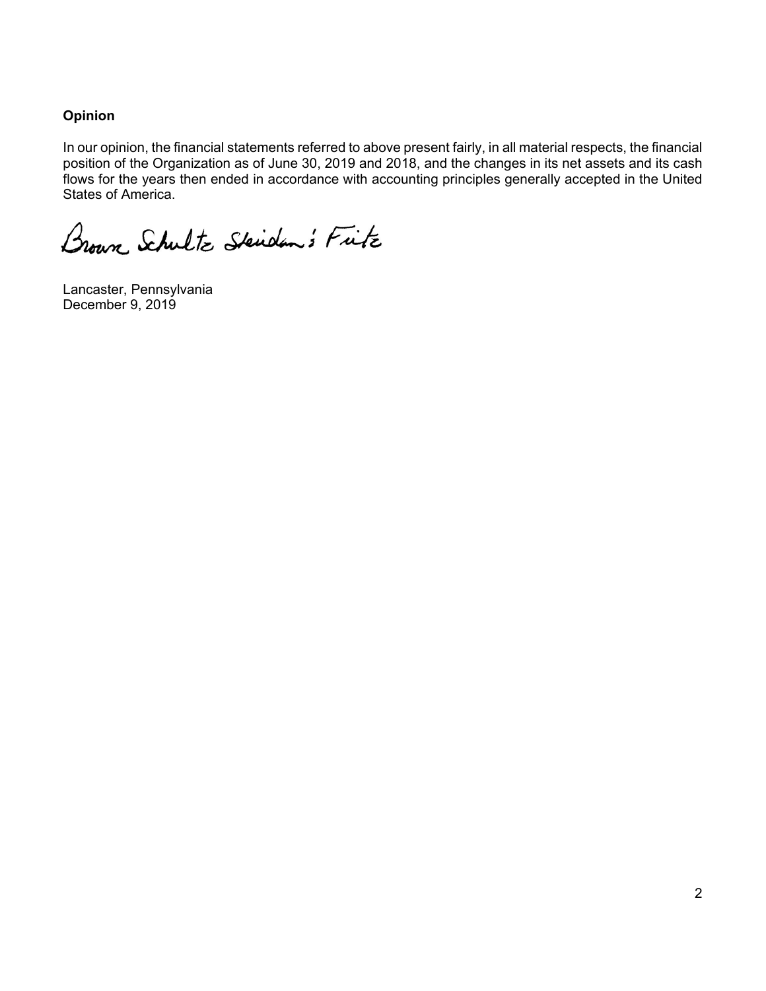## **Opinion**

In our opinion, the financial statements referred to above present fairly, in all material respects, the financial position of the Organization as of June 30, 2019 and 2018, and the changes in its net assets and its cash flows for the years then ended in accordance with accounting principles generally accepted in the United States of America.

Brown Schultz Skiden's Fitz

Lancaster, Pennsylvania December 9, 2019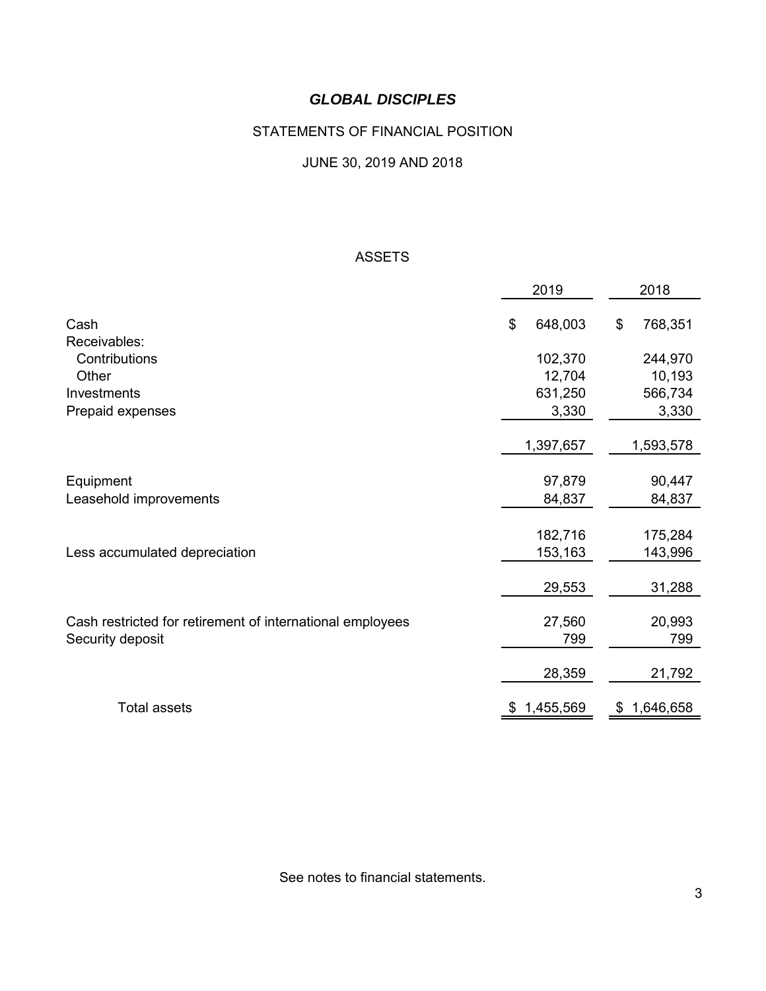# STATEMENTS OF FINANCIAL POSITION

## JUNE 30, 2019 AND 2018

### ASSETS

|    | 2019    |                                                                                                  | 2018      |
|----|---------|--------------------------------------------------------------------------------------------------|-----------|
| \$ | 648,003 | \$                                                                                               | 768,351   |
|    |         |                                                                                                  |           |
|    |         |                                                                                                  | 244,970   |
|    |         |                                                                                                  | 10,193    |
|    |         |                                                                                                  | 566,734   |
|    | 3,330   |                                                                                                  | 3,330     |
|    |         |                                                                                                  | 1,593,578 |
|    |         |                                                                                                  | 90,447    |
|    | 84,837  |                                                                                                  | 84,837    |
|    |         |                                                                                                  |           |
|    |         |                                                                                                  | 175,284   |
|    |         |                                                                                                  | 143,996   |
|    | 29,553  |                                                                                                  | 31,288    |
|    |         |                                                                                                  | 20,993    |
|    | 799     |                                                                                                  | 799       |
|    | 28,359  |                                                                                                  | 21,792    |
| SБ |         | \$                                                                                               | 1,646,658 |
|    |         | 102,370<br>12,704<br>631,250<br>1,397,657<br>97,879<br>182,716<br>153,163<br>27,560<br>1,455,569 |           |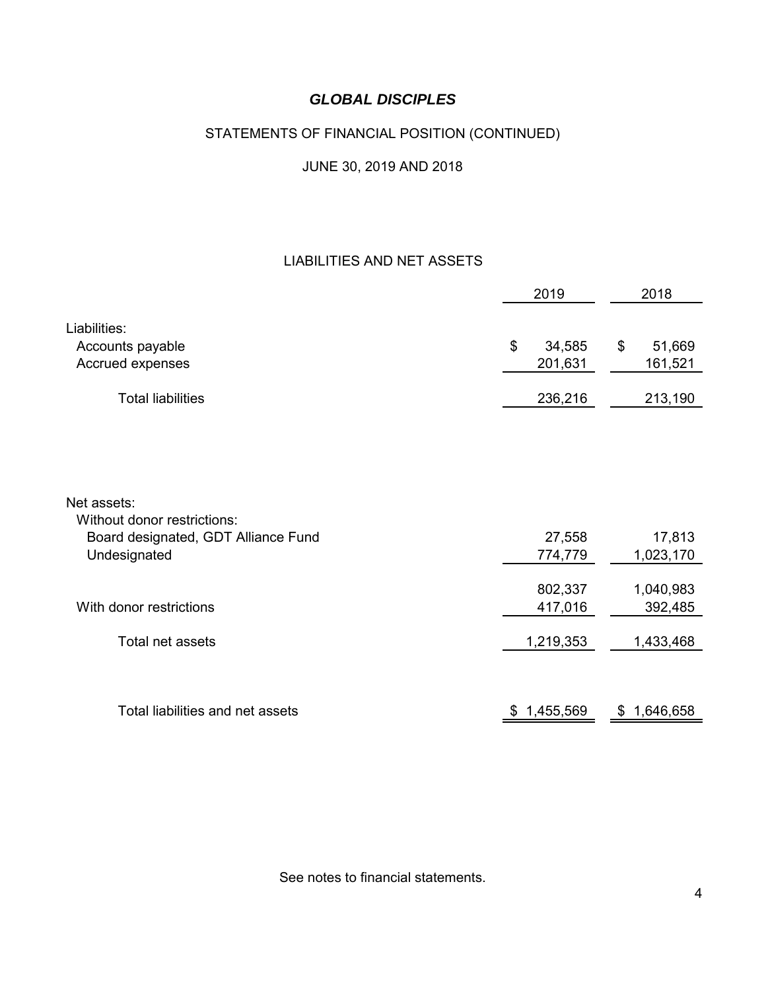# STATEMENTS OF FINANCIAL POSITION (CONTINUED)

# JUNE 30, 2019 AND 2018

## LIABILITIES AND NET ASSETS

|                                                                                    | 2019                    | 2018                    |
|------------------------------------------------------------------------------------|-------------------------|-------------------------|
| Liabilities:<br>Accounts payable<br>Accrued expenses                               | \$<br>34,585<br>201,631 | \$<br>51,669<br>161,521 |
| <b>Total liabilities</b>                                                           | 236,216                 | 213,190                 |
| Net assets:                                                                        |                         |                         |
| Without donor restrictions:<br>Board designated, GDT Alliance Fund<br>Undesignated | 27,558<br>774,779       | 17,813<br>1,023,170     |
| With donor restrictions                                                            | 802,337<br>417,016      | 1,040,983<br>392,485    |
| <b>Total net assets</b>                                                            | 1,219,353               | 1,433,468               |
| Total liabilities and net assets                                                   | 1,455,569<br>Ж,         | 1,646,658<br>\$         |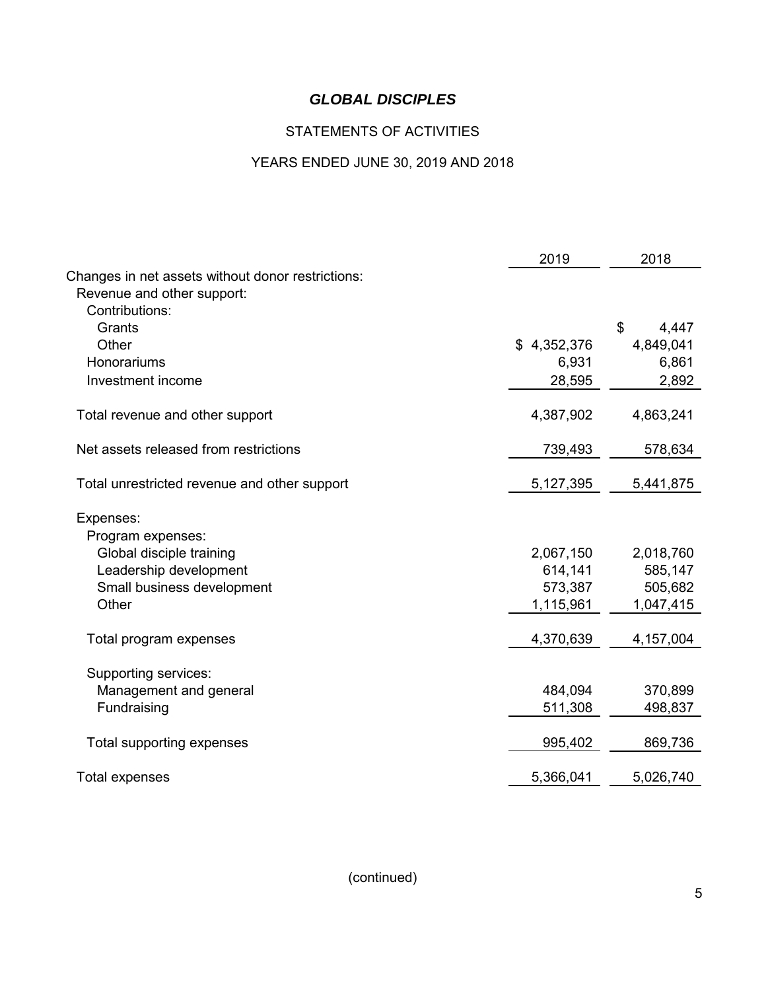# STATEMENTS OF ACTIVITIES

# YEARS ENDED JUNE 30, 2019 AND 2018

|                                                                                 | 2019        | 2018        |
|---------------------------------------------------------------------------------|-------------|-------------|
| Changes in net assets without donor restrictions:<br>Revenue and other support: |             |             |
| Contributions:                                                                  |             |             |
| Grants                                                                          |             | \$<br>4,447 |
| Other                                                                           | \$4,352,376 | 4,849,041   |
| Honorariums                                                                     | 6,931       | 6,861       |
| Investment income                                                               | 28,595      | 2,892       |
| Total revenue and other support                                                 | 4,387,902   | 4,863,241   |
| Net assets released from restrictions                                           | 739,493     | 578,634     |
| Total unrestricted revenue and other support                                    | 5,127,395   | 5,441,875   |
| Expenses:                                                                       |             |             |
| Program expenses:                                                               |             |             |
| Global disciple training                                                        | 2,067,150   | 2,018,760   |
| Leadership development                                                          | 614,141     | 585,147     |
| Small business development                                                      | 573,387     | 505,682     |
| Other                                                                           | 1,115,961   | 1,047,415   |
| Total program expenses                                                          | 4,370,639   | 4,157,004   |
| Supporting services:                                                            |             |             |
| Management and general                                                          | 484,094     | 370,899     |
| Fundraising                                                                     | 511,308     | 498,837     |
| Total supporting expenses                                                       | 995,402     | 869,736     |
| <b>Total expenses</b>                                                           | 5,366,041   | 5,026,740   |
|                                                                                 |             |             |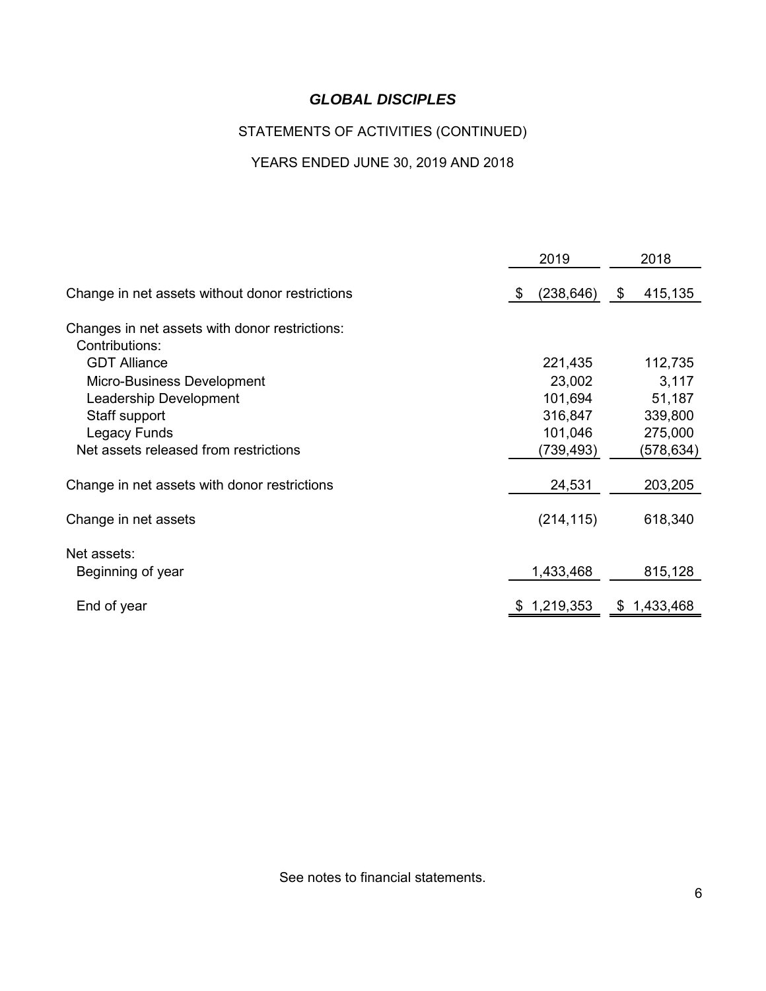# STATEMENTS OF ACTIVITIES (CONTINUED)

# YEARS ENDED JUNE 30, 2019 AND 2018

|                                                 | 2019            | 2018          |  |
|-------------------------------------------------|-----------------|---------------|--|
| Change in net assets without donor restrictions | (238, 646)<br>S | 415,135<br>\$ |  |
| Changes in net assets with donor restrictions:  |                 |               |  |
| Contributions:                                  |                 |               |  |
| <b>GDT Alliance</b>                             | 221,435         | 112,735       |  |
| Micro-Business Development                      | 23,002          | 3,117         |  |
| Leadership Development                          | 101,694         | 51,187        |  |
| Staff support                                   | 316,847         | 339,800       |  |
| Legacy Funds                                    | 101,046         | 275,000       |  |
| Net assets released from restrictions           | (739,493)       | (578,634)     |  |
| Change in net assets with donor restrictions    | 24,531          | 203,205       |  |
| Change in net assets                            | (214, 115)      | 618,340       |  |
| Net assets:                                     |                 |               |  |
| Beginning of year                               | 1,433,468       | 815,128       |  |
| End of year                                     | 1,219,353       | \$1,433,468   |  |
|                                                 |                 |               |  |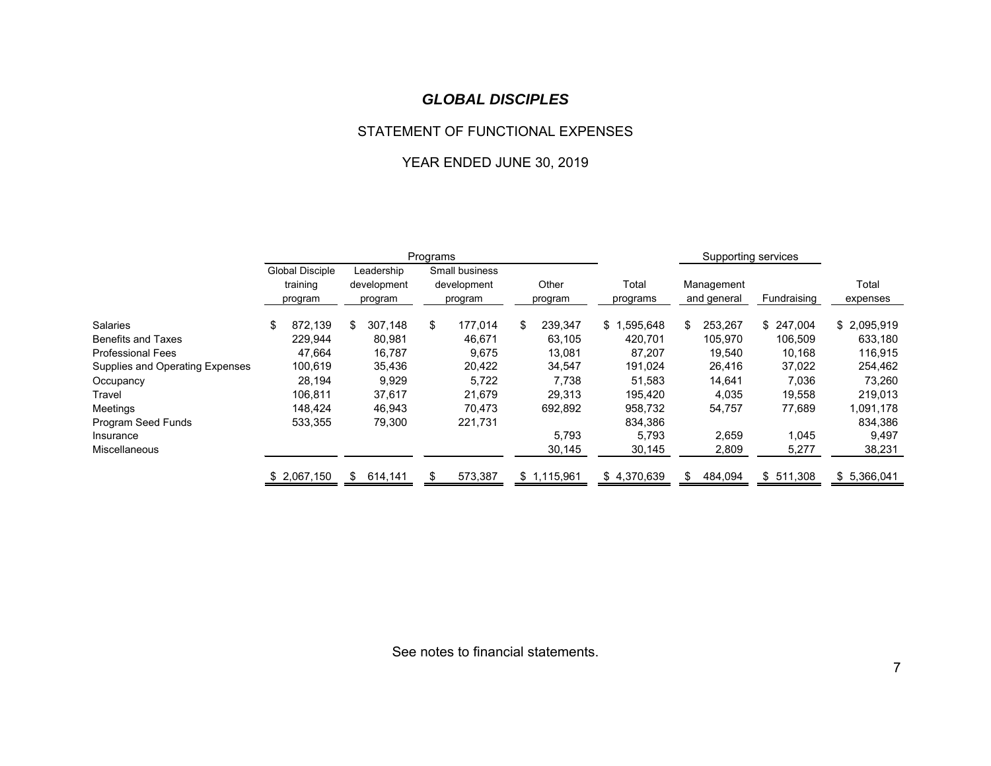#### STATEMENT OF FUNCTIONAL EXPENSES

## YEAR ENDED JUNE 30, 2019

|                                 | Programs |                                        |     |                                      |    |                                          |    |                  | Supporting services |     |                           |             |                   |
|---------------------------------|----------|----------------------------------------|-----|--------------------------------------|----|------------------------------------------|----|------------------|---------------------|-----|---------------------------|-------------|-------------------|
|                                 |          | Global Disciple<br>training<br>program |     | Leadership<br>development<br>program |    | Small business<br>development<br>program |    | Other<br>program | Total<br>programs   |     | Management<br>and general | Fundraising | Total<br>expenses |
| <b>Salaries</b>                 | \$       | 872,139                                | \$  | 307,148                              | \$ | 177,014                                  | \$ | 239,347          | .595,648<br>\$.     | \$. | 253,267                   | \$247,004   | \$2,095,919       |
| <b>Benefits and Taxes</b>       |          | 229.944                                |     | 80,981                               |    | 46.671                                   |    | 63.105           | 420.701             |     | 105.970                   | 106.509     | 633,180           |
| <b>Professional Fees</b>        |          | 47,664                                 |     | 16,787                               |    | 9,675                                    |    | 13,081           | 87,207              |     | 19,540                    | 10,168      | 116,915           |
| Supplies and Operating Expenses |          | 100,619                                |     | 35,436                               |    | 20,422                                   |    | 34,547           | 191,024             |     | 26,416                    | 37,022      | 254,462           |
| Occupancy                       |          | 28,194                                 |     | 9,929                                |    | 5,722                                    |    | 7.738            | 51,583              |     | 14,641                    | 7,036       | 73,260            |
| Travel                          |          | 106,811                                |     | 37,617                               |    | 21,679                                   |    | 29,313           | 195,420             |     | 4,035                     | 19,558      | 219,013           |
| Meetings                        |          | 148.424                                |     | 46,943                               |    | 70.473                                   |    | 692,892          | 958,732             |     | 54,757                    | 77,689      | 1,091,178         |
| Program Seed Funds              |          | 533,355                                |     | 79,300                               |    | 221,731                                  |    |                  | 834,386             |     |                           |             | 834,386           |
| Insurance                       |          |                                        |     |                                      |    |                                          |    | 5,793            | 5,793               |     | 2,659                     | 1,045       | 9,497             |
| <b>Miscellaneous</b>            |          |                                        |     |                                      |    |                                          |    | 30,145           | 30,145              |     | 2,809                     | 5,277       | 38,231            |
|                                 |          | \$2,067,150                            | \$. | 614,141                              |    | 573,387                                  |    | \$1,115,961      | \$4,370,639         | S.  | 484,094                   | \$511,308   | \$5,366,041       |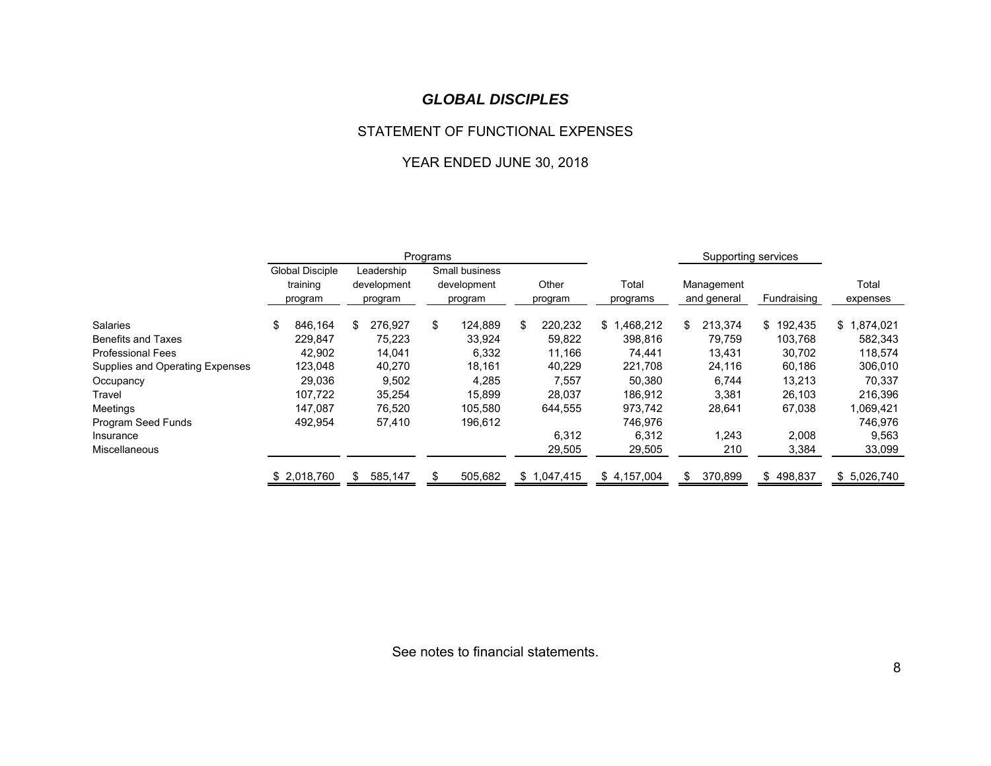#### STATEMENT OF FUNCTIONAL EXPENSES

## YEAR ENDED JUNE 30, 2018

|                                 | Programs |                                               |    |                                      |    |                                          |    |                  |                   | Supporting services |                           |             |                   |
|---------------------------------|----------|-----------------------------------------------|----|--------------------------------------|----|------------------------------------------|----|------------------|-------------------|---------------------|---------------------------|-------------|-------------------|
|                                 |          | <b>Global Disciple</b><br>training<br>program |    | Leadership<br>development<br>program |    | Small business<br>development<br>program |    | Other<br>program | Total<br>programs |                     | Management<br>and general | Fundraising | Total<br>expenses |
| Salaries                        | \$       | 846.164                                       | \$ | 276,927                              | \$ | 124,889                                  | \$ | 220,232          | .468,212<br>\$    | \$.                 | 213,374                   | \$192,435   | ,874,021<br>\$1   |
| <b>Benefits and Taxes</b>       |          | 229.847                                       |    | 75,223                               |    | 33,924                                   |    | 59,822           | 398,816           |                     | 79.759                    | 103,768     | 582,343           |
| <b>Professional Fees</b>        |          | 42,902                                        |    | 14,041                               |    | 6,332                                    |    | 11,166           | 74,441            |                     | 13,431                    | 30,702      | 118,574           |
| Supplies and Operating Expenses |          | 123,048                                       |    | 40,270                               |    | 18,161                                   |    | 40,229           | 221,708           |                     | 24,116                    | 60,186      | 306,010           |
| Occupancy                       |          | 29,036                                        |    | 9,502                                |    | 4,285                                    |    | 7,557            | 50,380            |                     | 6,744                     | 13,213      | 70,337            |
| Travel                          |          | 107.722                                       |    | 35,254                               |    | 15,899                                   |    | 28,037           | 186,912           |                     | 3,381                     | 26,103      | 216,396           |
| Meetings                        |          | 147.087                                       |    | 76,520                               |    | 105.580                                  |    | 644,555          | 973,742           |                     | 28,641                    | 67,038      | 1,069,421         |
| Program Seed Funds              |          | 492,954                                       |    | 57,410                               |    | 196,612                                  |    |                  | 746,976           |                     |                           |             | 746,976           |
| Insurance                       |          |                                               |    |                                      |    |                                          |    | 6,312            | 6,312             |                     | 1,243                     | 2,008       | 9,563             |
| <b>Miscellaneous</b>            |          |                                               |    |                                      |    |                                          |    | 29,505           | 29,505            |                     | 210                       | 3,384       | 33,099            |
|                                 |          | \$2,018,760                                   | \$ | 585,147                              |    | 505,682                                  |    | \$1,047,415      | \$4,157,004       |                     | 370,899                   | \$498,837   | \$5,026,740       |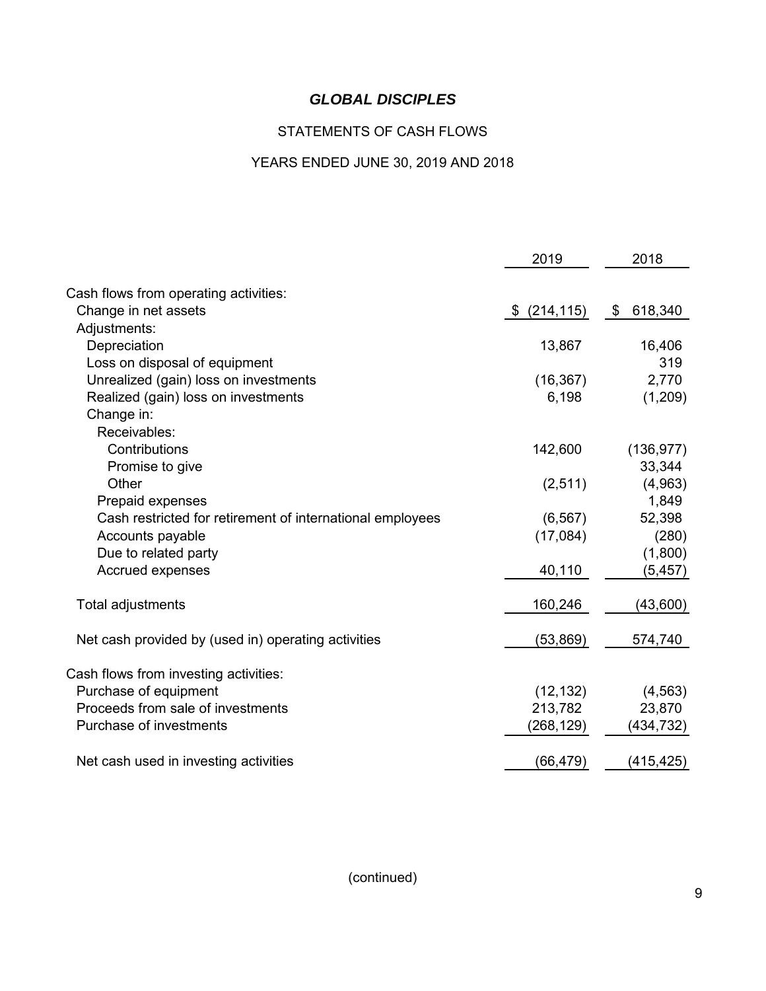# STATEMENTS OF CASH FLOWS

## YEARS ENDED JUNE 30, 2019 AND 2018

|                                                           | 2019             | 2018          |
|-----------------------------------------------------------|------------------|---------------|
|                                                           |                  |               |
| Cash flows from operating activities:                     |                  |               |
| Change in net assets                                      | (214, 115)<br>S. | 618,340<br>\$ |
| Adjustments:                                              |                  |               |
| Depreciation                                              | 13,867           | 16,406        |
| Loss on disposal of equipment                             |                  | 319           |
| Unrealized (gain) loss on investments                     | (16, 367)        | 2,770         |
| Realized (gain) loss on investments                       | 6,198            | (1,209)       |
| Change in:                                                |                  |               |
| Receivables:                                              |                  |               |
| Contributions                                             | 142,600          | (136, 977)    |
| Promise to give                                           |                  | 33,344        |
| Other                                                     | (2,511)          | (4,963)       |
| Prepaid expenses                                          |                  | 1,849         |
| Cash restricted for retirement of international employees | (6, 567)         | 52,398        |
| Accounts payable                                          | (17,084)         | (280)         |
| Due to related party                                      |                  | (1,800)       |
| Accrued expenses                                          | 40,110           | (5, 457)      |
|                                                           |                  |               |
| Total adjustments                                         | 160,246          | (43,600)      |
| Net cash provided by (used in) operating activities       | (53, 869)        | 574,740       |
|                                                           |                  |               |
| Cash flows from investing activities:                     |                  |               |
| Purchase of equipment                                     | (12, 132)        | (4, 563)      |
| Proceeds from sale of investments                         | 213,782          | 23,870        |
| Purchase of investments                                   | (268, 129)       | (434, 732)    |
| Net cash used in investing activities                     | (66, 479)        | (415, 425)    |
|                                                           |                  |               |

(continued)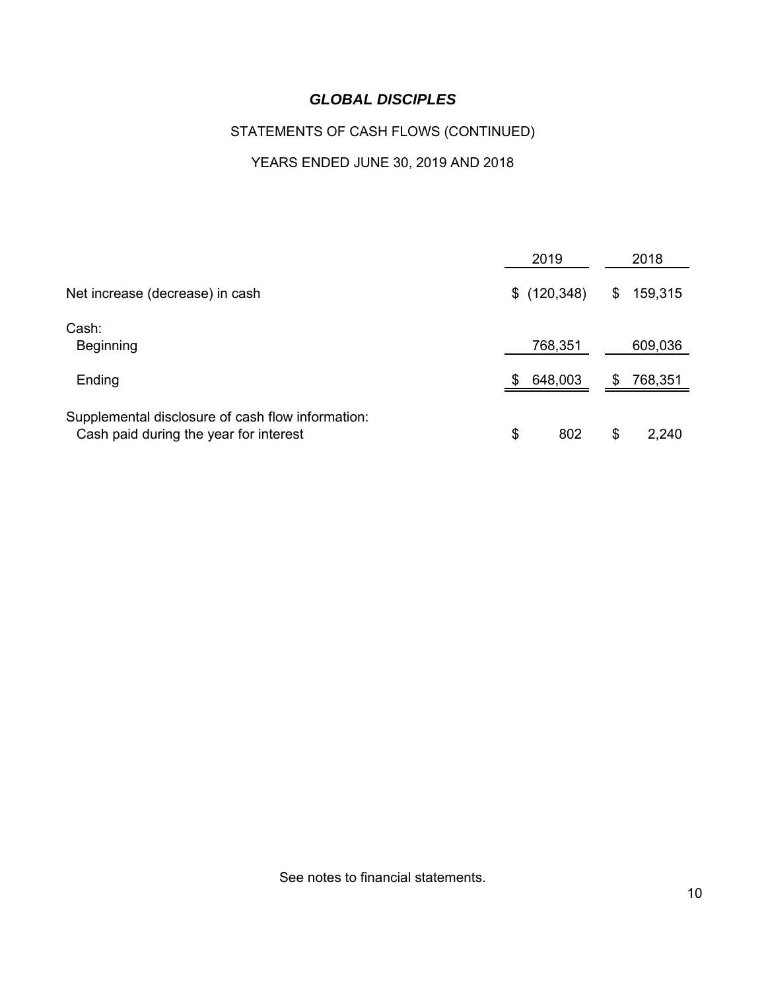# STATEMENTS OF CASH FLOWS (CONTINUED)

# YEARS ENDED JUNE 30, 2019 AND 2018

|                                                                                             | 2019           | 2018          |
|---------------------------------------------------------------------------------------------|----------------|---------------|
| Net increase (decrease) in cash                                                             | \$(120, 348)   | 159,315<br>\$ |
| Cash:<br><b>Beginning</b>                                                                   | 768,351        | 609,036       |
| Ending                                                                                      | 648,003<br>\$. | 768,351<br>S. |
| Supplemental disclosure of cash flow information:<br>Cash paid during the year for interest | \$<br>802      | \$<br>2,240   |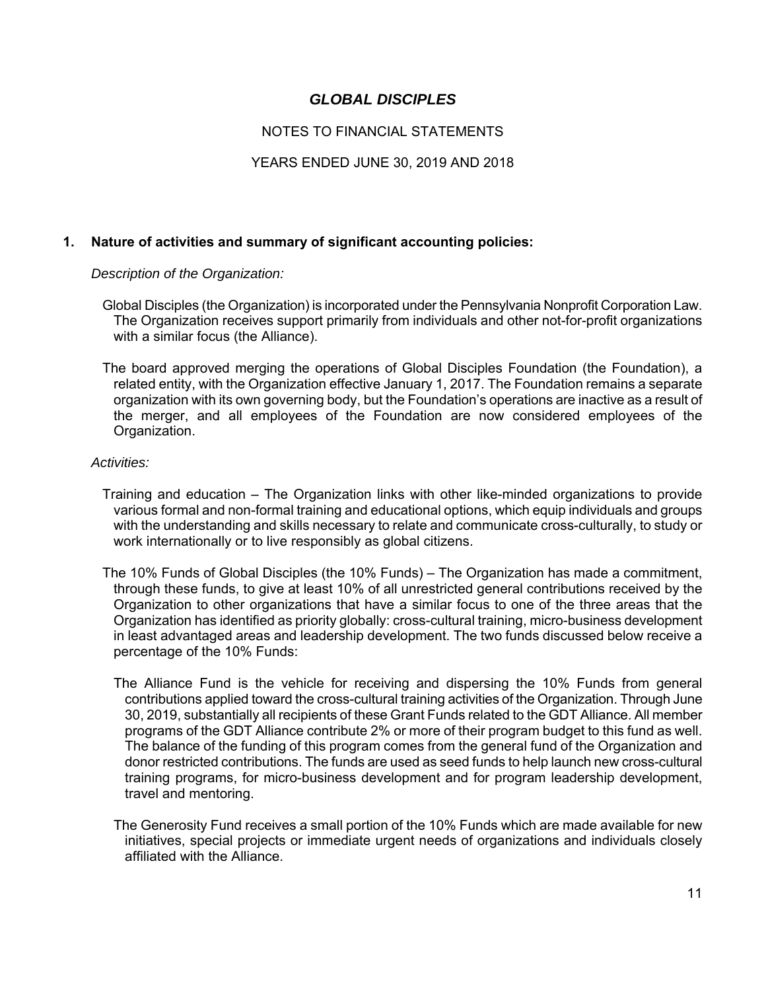## NOTES TO FINANCIAL STATEMENTS

### YEARS ENDED JUNE 30, 2019 AND 2018

### **1. Nature of activities and summary of significant accounting policies:**

*Description of the Organization:* 

- Global Disciples (the Organization) is incorporated under the Pennsylvania Nonprofit Corporation Law. The Organization receives support primarily from individuals and other not-for-profit organizations with a similar focus (the Alliance).
- The board approved merging the operations of Global Disciples Foundation (the Foundation), a related entity, with the Organization effective January 1, 2017. The Foundation remains a separate organization with its own governing body, but the Foundation's operations are inactive as a result of the merger, and all employees of the Foundation are now considered employees of the Organization.

#### *Activities:*

- Training and education The Organization links with other like-minded organizations to provide various formal and non-formal training and educational options, which equip individuals and groups with the understanding and skills necessary to relate and communicate cross-culturally, to study or work internationally or to live responsibly as global citizens.
- The 10% Funds of Global Disciples (the 10% Funds) The Organization has made a commitment, through these funds, to give at least 10% of all unrestricted general contributions received by the Organization to other organizations that have a similar focus to one of the three areas that the Organization has identified as priority globally: cross-cultural training, micro-business development in least advantaged areas and leadership development. The two funds discussed below receive a percentage of the 10% Funds:
	- The Alliance Fund is the vehicle for receiving and dispersing the 10% Funds from general contributions applied toward the cross-cultural training activities of the Organization. Through June 30, 2019, substantially all recipients of these Grant Funds related to the GDT Alliance. All member programs of the GDT Alliance contribute 2% or more of their program budget to this fund as well. The balance of the funding of this program comes from the general fund of the Organization and donor restricted contributions. The funds are used as seed funds to help launch new cross-cultural training programs, for micro-business development and for program leadership development, travel and mentoring.
	- The Generosity Fund receives a small portion of the 10% Funds which are made available for new initiatives, special projects or immediate urgent needs of organizations and individuals closely affiliated with the Alliance.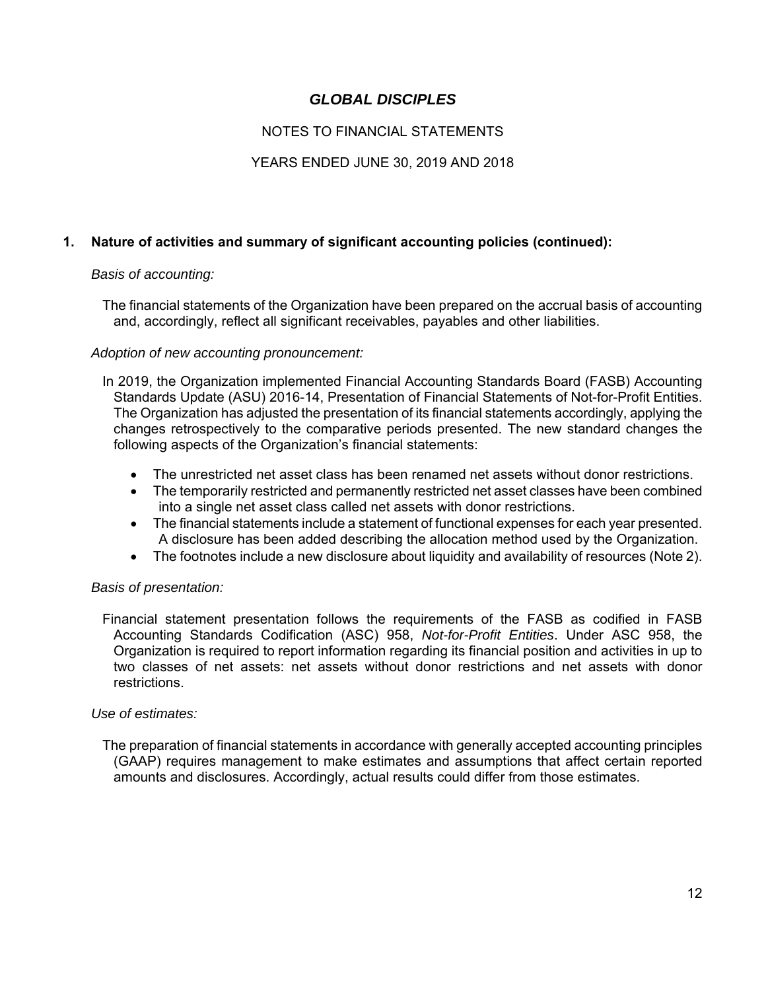## NOTES TO FINANCIAL STATEMENTS

## YEARS ENDED JUNE 30, 2019 AND 2018

## **1. Nature of activities and summary of significant accounting policies (continued):**

### *Basis of accounting:*

 The financial statements of the Organization have been prepared on the accrual basis of accounting and, accordingly, reflect all significant receivables, payables and other liabilities.

### *Adoption of new accounting pronouncement:*

 In 2019, the Organization implemented Financial Accounting Standards Board (FASB) Accounting Standards Update (ASU) 2016-14, Presentation of Financial Statements of Not-for-Profit Entities. The Organization has adjusted the presentation of its financial statements accordingly, applying the changes retrospectively to the comparative periods presented. The new standard changes the following aspects of the Organization's financial statements:

- The unrestricted net asset class has been renamed net assets without donor restrictions.
- The temporarily restricted and permanently restricted net asset classes have been combined into a single net asset class called net assets with donor restrictions.
- The financial statements include a statement of functional expenses for each year presented. A disclosure has been added describing the allocation method used by the Organization.
- The footnotes include a new disclosure about liquidity and availability of resources (Note 2).

### *Basis of presentation:*

 Financial statement presentation follows the requirements of the FASB as codified in FASB Accounting Standards Codification (ASC) 958, *Not-for-Profit Entities*. Under ASC 958, the Organization is required to report information regarding its financial position and activities in up to two classes of net assets: net assets without donor restrictions and net assets with donor restrictions.

#### *Use of estimates:*

 The preparation of financial statements in accordance with generally accepted accounting principles (GAAP) requires management to make estimates and assumptions that affect certain reported amounts and disclosures. Accordingly, actual results could differ from those estimates.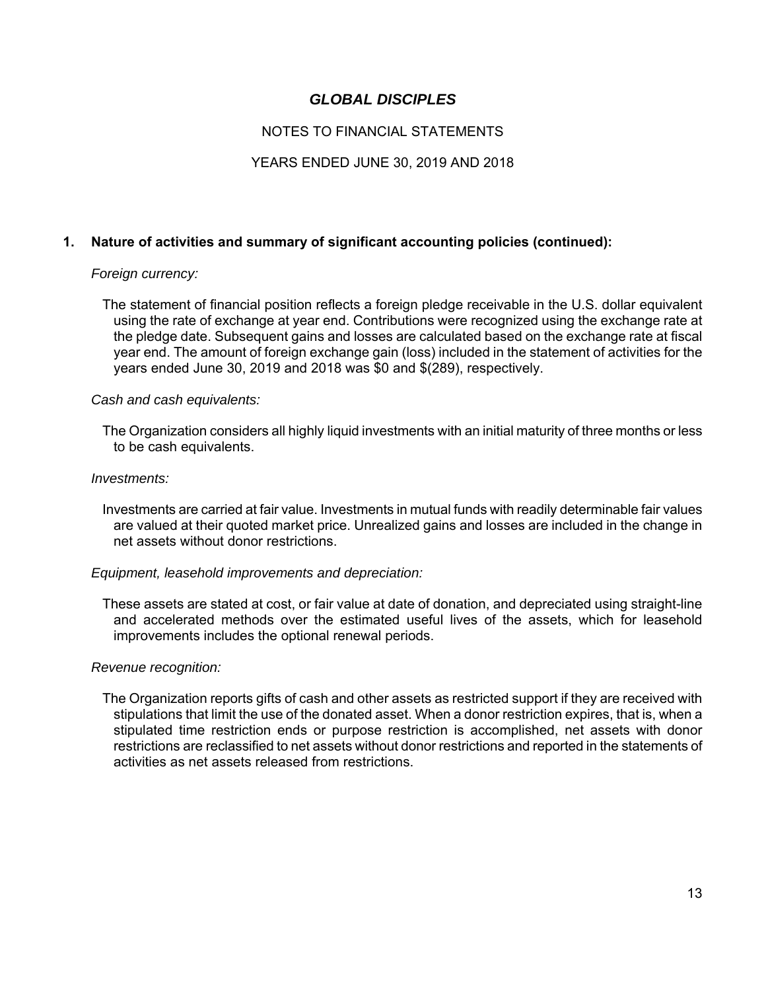## NOTES TO FINANCIAL STATEMENTS

### YEARS ENDED JUNE 30, 2019 AND 2018

### **1. Nature of activities and summary of significant accounting policies (continued):**

#### *Foreign currency:*

 The statement of financial position reflects a foreign pledge receivable in the U.S. dollar equivalent using the rate of exchange at year end. Contributions were recognized using the exchange rate at the pledge date. Subsequent gains and losses are calculated based on the exchange rate at fiscal year end. The amount of foreign exchange gain (loss) included in the statement of activities for the years ended June 30, 2019 and 2018 was \$0 and \$(289), respectively.

#### *Cash and cash equivalents:*

 The Organization considers all highly liquid investments with an initial maturity of three months or less to be cash equivalents.

#### *Investments:*

 Investments are carried at fair value. Investments in mutual funds with readily determinable fair values are valued at their quoted market price. Unrealized gains and losses are included in the change in net assets without donor restrictions.

#### *Equipment, leasehold improvements and depreciation:*

 These assets are stated at cost, or fair value at date of donation, and depreciated using straight-line and accelerated methods over the estimated useful lives of the assets, which for leasehold improvements includes the optional renewal periods.

#### *Revenue recognition:*

 The Organization reports gifts of cash and other assets as restricted support if they are received with stipulations that limit the use of the donated asset. When a donor restriction expires, that is, when a stipulated time restriction ends or purpose restriction is accomplished, net assets with donor restrictions are reclassified to net assets without donor restrictions and reported in the statements of activities as net assets released from restrictions.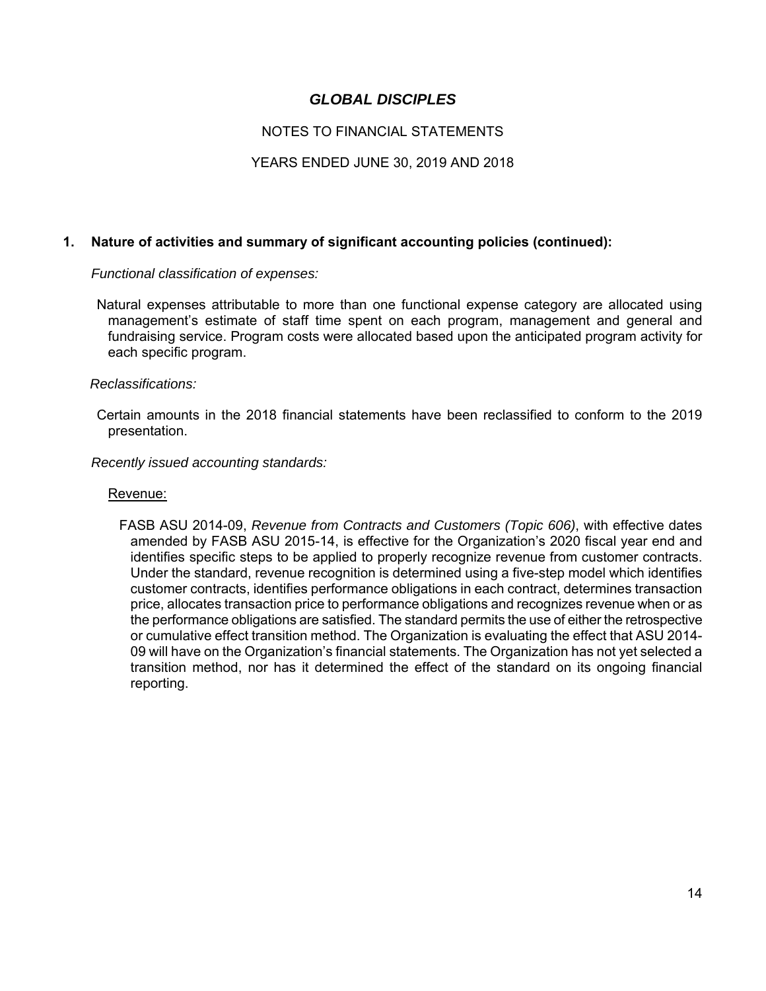## NOTES TO FINANCIAL STATEMENTS

### YEARS ENDED JUNE 30, 2019 AND 2018

### **1. Nature of activities and summary of significant accounting policies (continued):**

 *Functional classification of expenses:* 

 Natural expenses attributable to more than one functional expense category are allocated using management's estimate of staff time spent on each program, management and general and fundraising service. Program costs were allocated based upon the anticipated program activity for each specific program.

#### *Reclassifications:*

 Certain amounts in the 2018 financial statements have been reclassified to conform to the 2019 presentation.

#### *Recently issued accounting standards:*

#### Revenue:

FASB ASU 2014-09, *Revenue from Contracts and Customers (Topic 606)*, with effective dates amended by FASB ASU 2015-14, is effective for the Organization's 2020 fiscal year end and identifies specific steps to be applied to properly recognize revenue from customer contracts. Under the standard, revenue recognition is determined using a five-step model which identifies customer contracts, identifies performance obligations in each contract, determines transaction price, allocates transaction price to performance obligations and recognizes revenue when or as the performance obligations are satisfied. The standard permits the use of either the retrospective or cumulative effect transition method. The Organization is evaluating the effect that ASU 2014- 09 will have on the Organization's financial statements. The Organization has not yet selected a transition method, nor has it determined the effect of the standard on its ongoing financial reporting.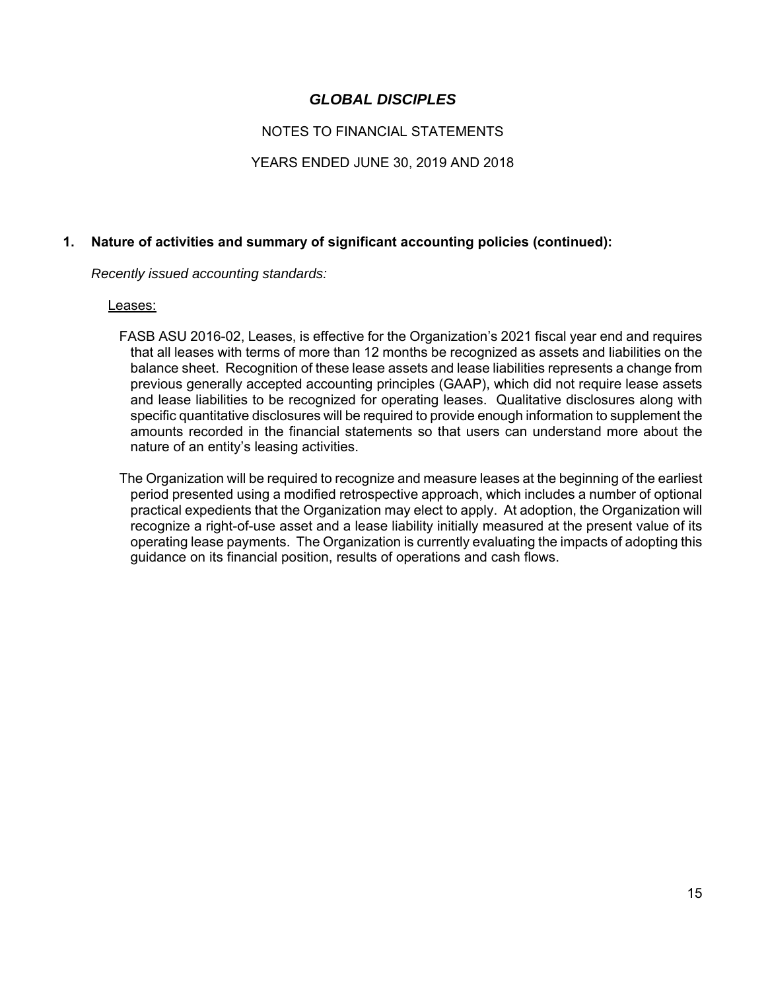## NOTES TO FINANCIAL STATEMENTS

## YEARS ENDED JUNE 30, 2019 AND 2018

## **1. Nature of activities and summary of significant accounting policies (continued):**

 *Recently issued accounting standards:* 

#### Leases:

- FASB ASU 2016-02, Leases, is effective for the Organization's 2021 fiscal year end and requires that all leases with terms of more than 12 months be recognized as assets and liabilities on the balance sheet. Recognition of these lease assets and lease liabilities represents a change from previous generally accepted accounting principles (GAAP), which did not require lease assets and lease liabilities to be recognized for operating leases. Qualitative disclosures along with specific quantitative disclosures will be required to provide enough information to supplement the amounts recorded in the financial statements so that users can understand more about the nature of an entity's leasing activities.
- The Organization will be required to recognize and measure leases at the beginning of the earliest period presented using a modified retrospective approach, which includes a number of optional practical expedients that the Organization may elect to apply. At adoption, the Organization will recognize a right-of-use asset and a lease liability initially measured at the present value of its operating lease payments. The Organization is currently evaluating the impacts of adopting this guidance on its financial position, results of operations and cash flows.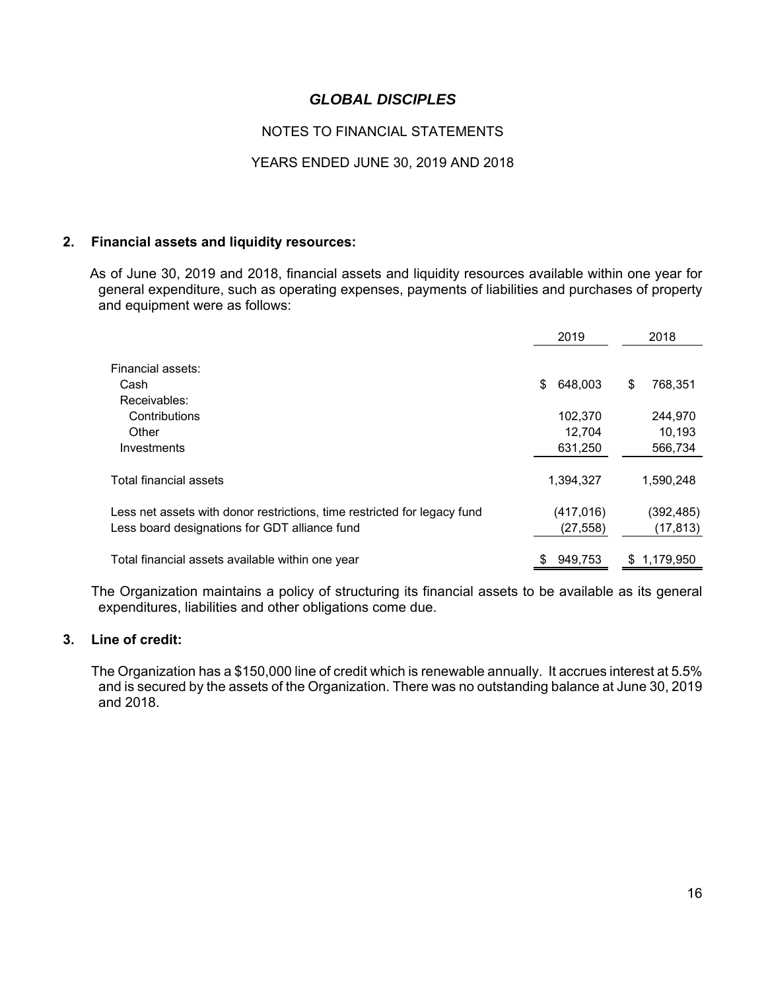## NOTES TO FINANCIAL STATEMENTS

### YEARS ENDED JUNE 30, 2019 AND 2018

#### **2. Financial assets and liquidity resources:**

 As of June 30, 2019 and 2018, financial assets and liquidity resources available within one year for general expenditure, such as operating expenses, payments of liabilities and purchases of property and equipment were as follows:

|                                                                          | 2019          | 2018          |
|--------------------------------------------------------------------------|---------------|---------------|
| Financial assets:                                                        |               |               |
| Cash                                                                     | 648,003<br>\$ | \$<br>768,351 |
| Receivables:                                                             |               |               |
| Contributions                                                            | 102,370       | 244,970       |
| Other                                                                    | 12.704        | 10,193        |
| Investments                                                              | 631,250       | 566,734       |
| Total financial assets                                                   | 1,394,327     | 1,590,248     |
| Less net assets with donor restrictions, time restricted for legacy fund | (417, 016)    | (392, 485)    |
| Less board designations for GDT alliance fund                            | (27,558)      | (17, 813)     |
| Total financial assets available within one year                         | 949,753<br>S. | \$1,179,950   |

 The Organization maintains a policy of structuring its financial assets to be available as its general expenditures, liabilities and other obligations come due.

### **3. Line of credit:**

 The Organization has a \$150,000 line of credit which is renewable annually. It accrues interest at 5.5% and is secured by the assets of the Organization. There was no outstanding balance at June 30, 2019 and 2018.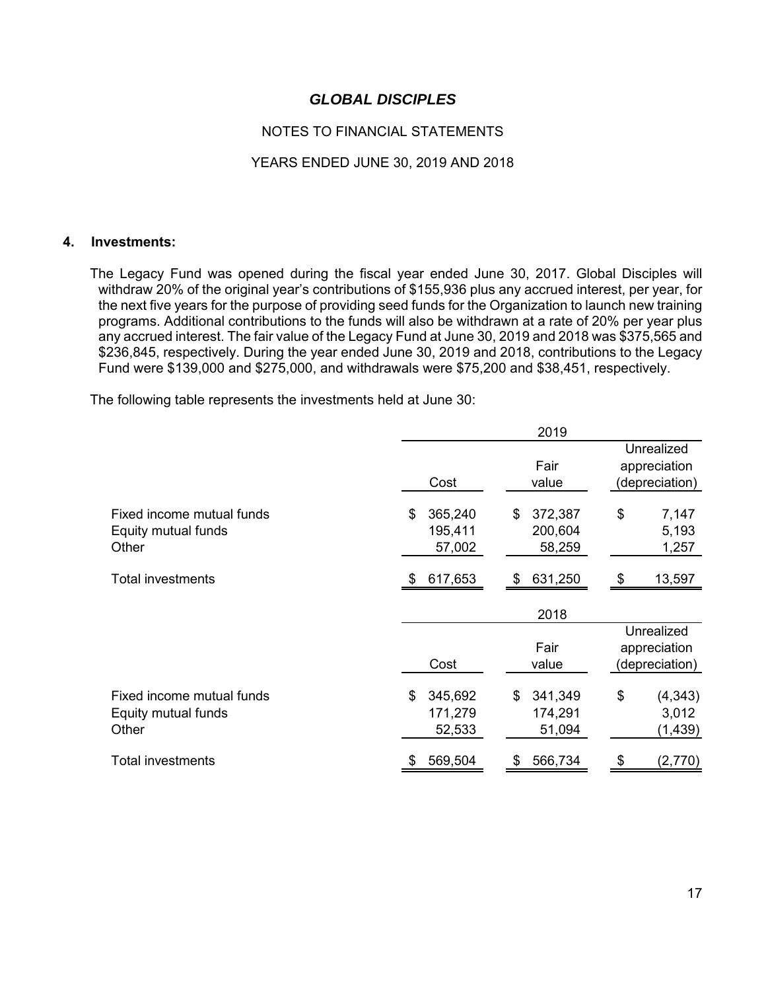## NOTES TO FINANCIAL STATEMENTS

### YEARS ENDED JUNE 30, 2019 AND 2018

#### **4. Investments:**

 The Legacy Fund was opened during the fiscal year ended June 30, 2017. Global Disciples will withdraw 20% of the original year's contributions of \$155,936 plus any accrued interest, per year, for the next five years for the purpose of providing seed funds for the Organization to launch new training programs. Additional contributions to the funds will also be withdrawn at a rate of 20% per year plus any accrued interest. The fair value of the Legacy Fund at June 30, 2019 and 2018 was \$375,565 and \$236,845, respectively. During the year ended June 30, 2019 and 2018, contributions to the Legacy Fund were \$139,000 and \$275,000, and withdrawals were \$75,200 and \$38,451, respectively.

The following table represents the investments held at June 30:

|                                                           |                                    | 2019                               |                                              |
|-----------------------------------------------------------|------------------------------------|------------------------------------|----------------------------------------------|
|                                                           | Cost                               | Fair<br>value                      | Unrealized<br>appreciation<br>(depreciation) |
| Fixed income mutual funds<br>Equity mutual funds<br>Other | 365,240<br>\$<br>195,411<br>57,002 | 372,387<br>\$<br>200,604<br>58,259 | \$<br>7,147<br>5,193<br>1,257                |
| <b>Total investments</b>                                  | 617,653<br>\$.                     | 631,250<br>\$                      | \$<br>13,597                                 |
|                                                           |                                    | 2018                               |                                              |
|                                                           | Cost                               | Fair<br>value                      | Unrealized<br>appreciation<br>(depreciation) |
| Fixed income mutual funds<br>Equity mutual funds<br>Other | 345,692<br>\$<br>171,279<br>52,533 | 341,349<br>\$<br>174,291<br>51,094 | \$<br>(4, 343)<br>3,012<br>(1, 439)          |
| <b>Total investments</b>                                  | 569,504                            | 566,734<br>\$                      | (2,770)<br>S                                 |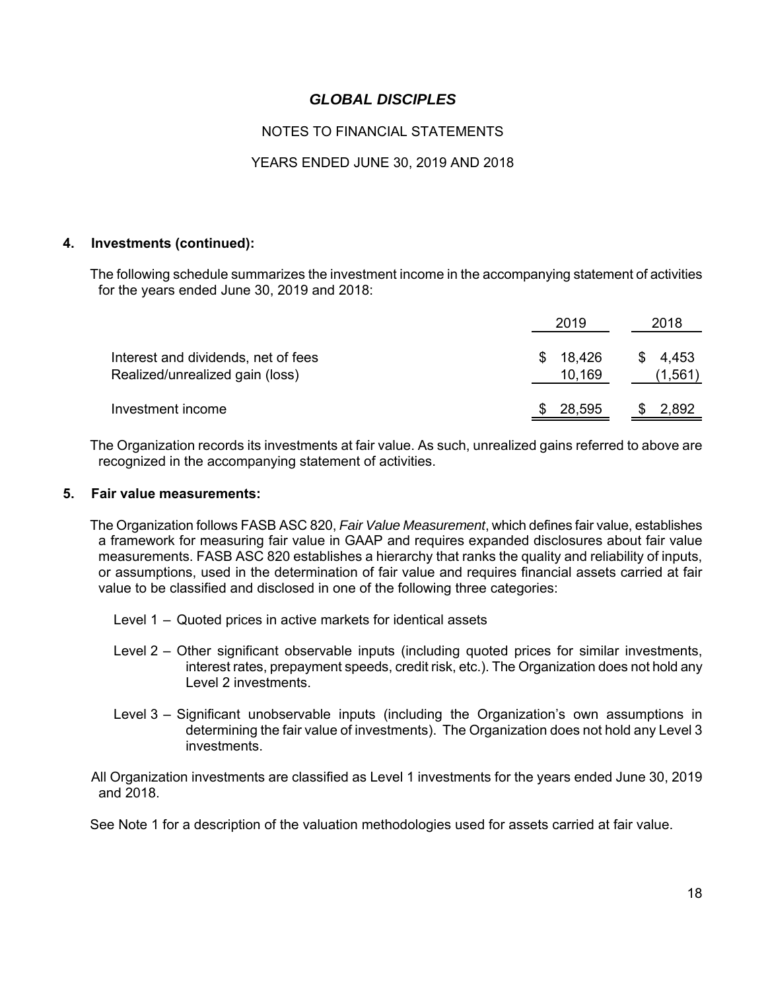## NOTES TO FINANCIAL STATEMENTS

### YEARS ENDED JUNE 30, 2019 AND 2018

#### **4. Investments (continued):**

 The following schedule summarizes the investment income in the accompanying statement of activities for the years ended June 30, 2019 and 2018:

|                                                                        | 2019                   | 2018                |
|------------------------------------------------------------------------|------------------------|---------------------|
| Interest and dividends, net of fees<br>Realized/unrealized gain (loss) | 18,426<br>S.<br>10,169 | \$4,453<br>(1, 561) |
| Investment income                                                      | 28,595                 | \$<br>2,892         |

 The Organization records its investments at fair value. As such, unrealized gains referred to above are recognized in the accompanying statement of activities.

#### **5. Fair value measurements:**

 The Organization follows FASB ASC 820, *Fair Value Measurement*, which defines fair value, establishes a framework for measuring fair value in GAAP and requires expanded disclosures about fair value measurements. FASB ASC 820 establishes a hierarchy that ranks the quality and reliability of inputs, or assumptions, used in the determination of fair value and requires financial assets carried at fair value to be classified and disclosed in one of the following three categories:

- Level 1 Quoted prices in active markets for identical assets
- Level 2 Other significant observable inputs (including quoted prices for similar investments, interest rates, prepayment speeds, credit risk, etc.). The Organization does not hold any Level 2 investments.
- Level 3 Significant unobservable inputs (including the Organization's own assumptions in determining the fair value of investments). The Organization does not hold any Level 3 investments.

 All Organization investments are classified as Level 1 investments for the years ended June 30, 2019 and 2018.

See Note 1 for a description of the valuation methodologies used for assets carried at fair value.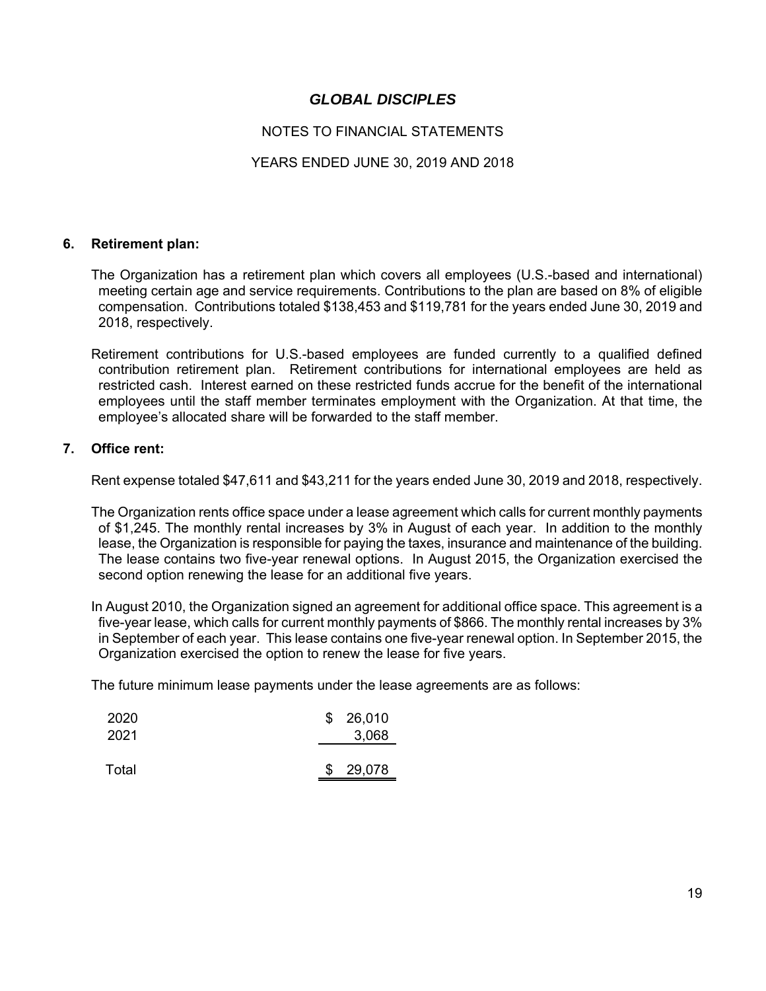## NOTES TO FINANCIAL STATEMENTS

### YEARS ENDED JUNE 30, 2019 AND 2018

#### **6. Retirement plan:**

 The Organization has a retirement plan which covers all employees (U.S.-based and international) meeting certain age and service requirements. Contributions to the plan are based on 8% of eligible compensation. Contributions totaled \$138,453 and \$119,781 for the years ended June 30, 2019 and 2018, respectively.

 Retirement contributions for U.S.-based employees are funded currently to a qualified defined contribution retirement plan. Retirement contributions for international employees are held as restricted cash. Interest earned on these restricted funds accrue for the benefit of the international employees until the staff member terminates employment with the Organization. At that time, the employee's allocated share will be forwarded to the staff member.

#### **7. Office rent:**

Rent expense totaled \$47,611 and \$43,211 for the years ended June 30, 2019 and 2018, respectively.

 The Organization rents office space under a lease agreement which calls for current monthly payments of \$1,245. The monthly rental increases by 3% in August of each year. In addition to the monthly lease, the Organization is responsible for paying the taxes, insurance and maintenance of the building. The lease contains two five-year renewal options. In August 2015, the Organization exercised the second option renewing the lease for an additional five years.

 In August 2010, the Organization signed an agreement for additional office space. This agreement is a five-year lease, which calls for current monthly payments of \$866. The monthly rental increases by 3% in September of each year. This lease contains one five-year renewal option. In September 2015, the Organization exercised the option to renew the lease for five years.

The future minimum lease payments under the lease agreements are as follows:

| 2020  | \$26,010 |
|-------|----------|
| 2021  | 3,068    |
|       |          |
| Total | \$29,078 |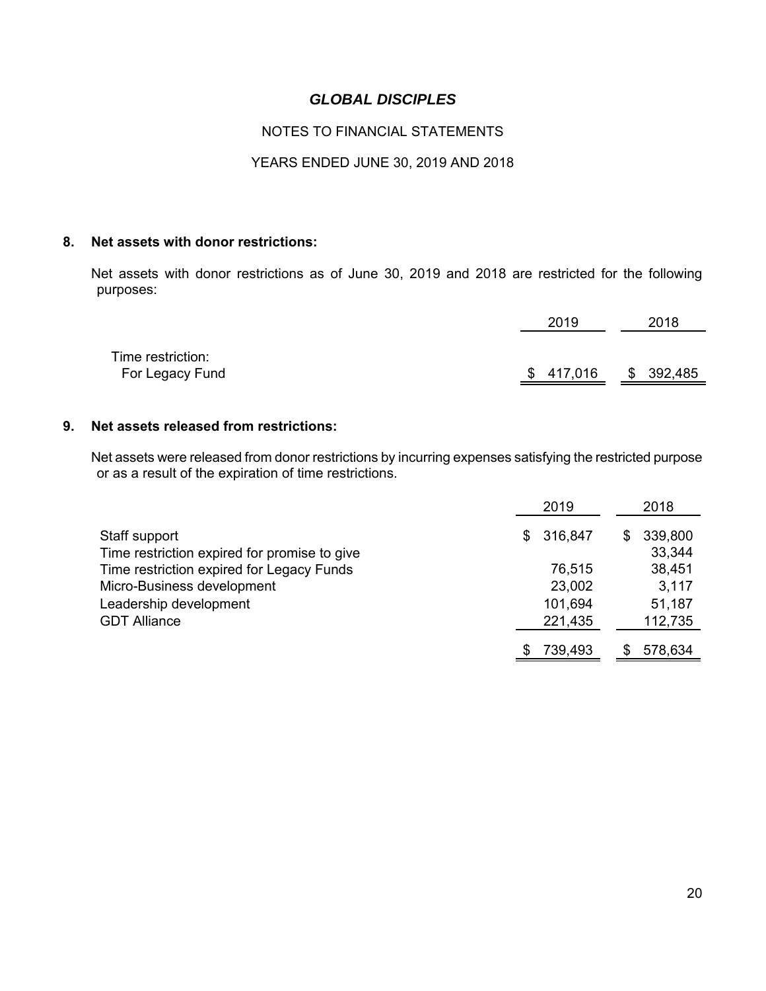## NOTES TO FINANCIAL STATEMENTS

### YEARS ENDED JUNE 30, 2019 AND 2018

#### **8. Net assets with donor restrictions:**

 Net assets with donor restrictions as of June 30, 2019 and 2018 are restricted for the following purposes:

|                   | 2019      | 2018      |
|-------------------|-----------|-----------|
| Time restriction: |           |           |
| For Legacy Fund   | \$417,016 | \$392,485 |

### **9. Net assets released from restrictions:**

 Net assets were released from donor restrictions by incurring expenses satisfying the restricted purpose or as a result of the expiration of time restrictions.

|                                                               | 2019 |         | 2018 |                   |
|---------------------------------------------------------------|------|---------|------|-------------------|
| Staff support<br>Time restriction expired for promise to give | \$.  | 316,847 | S    | 339,800<br>33,344 |
| Time restriction expired for Legacy Funds                     |      | 76,515  |      | 38,451            |
| Micro-Business development                                    |      | 23,002  |      | 3,117             |
| Leadership development                                        |      | 101,694 |      | 51,187            |
| <b>GDT Alliance</b>                                           |      | 221,435 |      | 112,735           |
|                                                               |      | 739,493 |      | 578,634           |